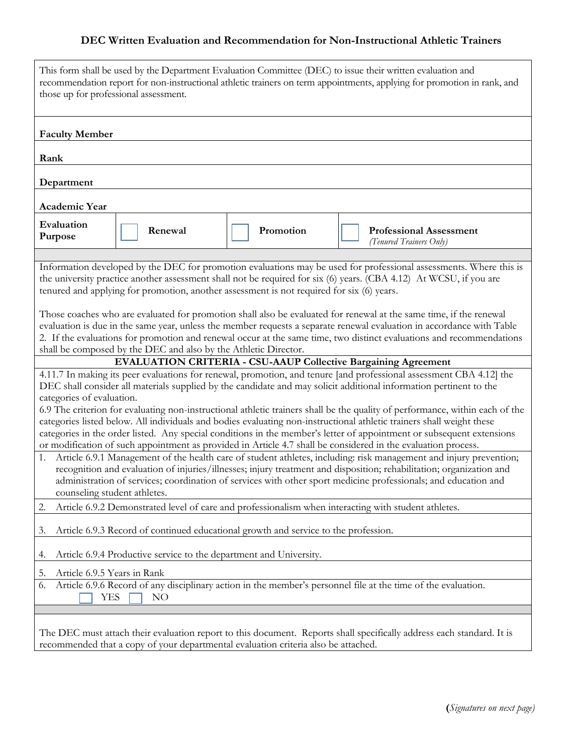## **DEC Written Evaluation and Recommendation for Non-Instructional Athletic Trainers**

| This form shall be used by the Department Evaluation Committee (DEC) to issue their written evaluation and<br>recommendation report for non-instructional athletic trainers on term appointments, applying for promotion in rank, and<br>those up for professional assessment. |  |                                                                 |  |                                                                                           |                                                                                                                       |
|--------------------------------------------------------------------------------------------------------------------------------------------------------------------------------------------------------------------------------------------------------------------------------|--|-----------------------------------------------------------------|--|-------------------------------------------------------------------------------------------|-----------------------------------------------------------------------------------------------------------------------|
| <b>Faculty Member</b>                                                                                                                                                                                                                                                          |  |                                                                 |  |                                                                                           |                                                                                                                       |
| Rank                                                                                                                                                                                                                                                                           |  |                                                                 |  |                                                                                           |                                                                                                                       |
|                                                                                                                                                                                                                                                                                |  |                                                                 |  |                                                                                           |                                                                                                                       |
| Department                                                                                                                                                                                                                                                                     |  |                                                                 |  |                                                                                           |                                                                                                                       |
| Academic Year                                                                                                                                                                                                                                                                  |  |                                                                 |  |                                                                                           |                                                                                                                       |
| Evaluation<br>Purpose                                                                                                                                                                                                                                                          |  | Renewal                                                         |  | Promotion                                                                                 | <b>Professional Assessment</b><br>(Tenured Trainers Only)                                                             |
|                                                                                                                                                                                                                                                                                |  |                                                                 |  |                                                                                           | Information developed by the DEC for promotion evaluations may be used for professional assessments. Where this is    |
|                                                                                                                                                                                                                                                                                |  |                                                                 |  |                                                                                           | the university practice another assessment shall not be required for six (6) years. (CBA 4.12) At WCSU, if you are    |
|                                                                                                                                                                                                                                                                                |  |                                                                 |  | tenured and applying for promotion, another assessment is not required for six (6) years. |                                                                                                                       |
|                                                                                                                                                                                                                                                                                |  |                                                                 |  |                                                                                           | Those coaches who are evaluated for promotion shall also be evaluated for renewal at the same time, if the renewal    |
|                                                                                                                                                                                                                                                                                |  |                                                                 |  |                                                                                           | evaluation is due in the same year, unless the member requests a separate renewal evaluation in accordance with Table |
|                                                                                                                                                                                                                                                                                |  | shall be composed by the DEC and also by the Athletic Director. |  |                                                                                           | 2. If the evaluations for promotion and renewal occur at the same time, two distinct evaluations and recommendations  |
|                                                                                                                                                                                                                                                                                |  |                                                                 |  |                                                                                           |                                                                                                                       |
| <b>EVALUATION CRITERIA - CSU-AAUP Collective Bargaining Agreement</b><br>4.11.7 In making its peer evaluations for renewal, promotion, and tenure [and professional assessment CBA 4.12] the                                                                                   |  |                                                                 |  |                                                                                           |                                                                                                                       |
| DEC shall consider all materials supplied by the candidate and may solicit additional information pertinent to the                                                                                                                                                             |  |                                                                 |  |                                                                                           |                                                                                                                       |
| categories of evaluation.                                                                                                                                                                                                                                                      |  |                                                                 |  |                                                                                           |                                                                                                                       |
| 6.9 The criterion for evaluating non-instructional athletic trainers shall be the quality of performance, within each of the<br>categories listed below. All individuals and bodies evaluating non-instructional athletic trainers shall weight these                          |  |                                                                 |  |                                                                                           |                                                                                                                       |
| categories in the order listed. Any special conditions in the member's letter of appointment or subsequent extensions                                                                                                                                                          |  |                                                                 |  |                                                                                           |                                                                                                                       |
| or modification of such appointment as provided in Article 4.7 shall be considered in the evaluation process.                                                                                                                                                                  |  |                                                                 |  |                                                                                           |                                                                                                                       |
| Article 6.9.1 Management of the health care of student athletes, including: risk management and injury prevention;<br>1.<br>recognition and evaluation of injuries/illnesses; injury treatment and disposition; rehabilitation; organization and                               |  |                                                                 |  |                                                                                           |                                                                                                                       |
| administration of services; coordination of services with other sport medicine professionals; and education and                                                                                                                                                                |  |                                                                 |  |                                                                                           |                                                                                                                       |
| counseling student athletes.                                                                                                                                                                                                                                                   |  |                                                                 |  |                                                                                           |                                                                                                                       |
| Article 6.9.2 Demonstrated level of care and professionalism when interacting with student athletes.<br>2.                                                                                                                                                                     |  |                                                                 |  |                                                                                           |                                                                                                                       |
| Article 6.9.3 Record of continued educational growth and service to the profession.<br>3.                                                                                                                                                                                      |  |                                                                 |  |                                                                                           |                                                                                                                       |
| Article 6.9.4 Productive service to the department and University.<br>4.                                                                                                                                                                                                       |  |                                                                 |  |                                                                                           |                                                                                                                       |
| Article 6.9.5 Years in Rank<br>5.                                                                                                                                                                                                                                              |  |                                                                 |  |                                                                                           |                                                                                                                       |
| Article 6.9.6 Record of any disciplinary action in the member's personnel file at the time of the evaluation.<br>6.<br>YES<br>NO                                                                                                                                               |  |                                                                 |  |                                                                                           |                                                                                                                       |
|                                                                                                                                                                                                                                                                                |  |                                                                 |  |                                                                                           |                                                                                                                       |
| The DEC must attach their evaluation report to this document. Reports shall specifically address each standard. It is                                                                                                                                                          |  |                                                                 |  |                                                                                           |                                                                                                                       |
| recommended that a copy of your departmental evaluation criteria also be attached.                                                                                                                                                                                             |  |                                                                 |  |                                                                                           |                                                                                                                       |